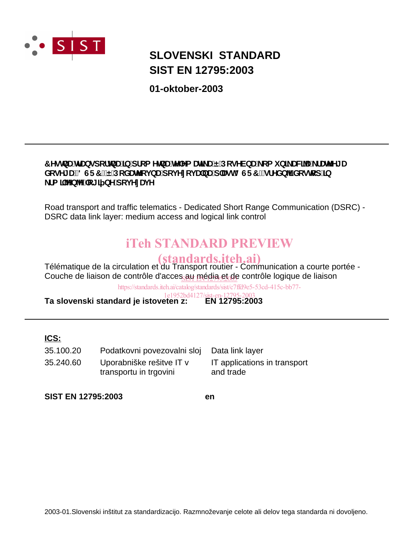

# **SIST EN 12795:2003 SLOVENSKI STANDARD**

**01-oktober-2003**

# 7 YghbU'hf Ubgdcf hbU'lb dfca YhbU'h Ya Un U'E Dcg YVbU ca i b] UW<sup>T</sup>U fUn YJ U XcgYI UfB GF7 L'EDcXUh cj bUdcj Yncj UbUd`Ugh8 GF7 . gfYXb1 Xcghcd ]b \_fa **]`^b^'**`c[ ] bY`dcj YnUj Y

Road transport and traffic telematics - Dedicated Short Range Communication (DSRC) - DSRC data link layer: medium access and logical link control

# iTeh STANDARD PREVIEW

Télématique de la circulation et du Transport routier - Communication a courte portée - (standards.iteh.ai) Couche de liaison de contrôle d'acces<sub>si</sub>au média et<sub>o</sub>de contrôle logique de liaison

https://standards.iteh.ai/catalog/standards/sist/c7ffd9e5-53cd-415c-bb77-

**Ta slovenski standard je istoveten z:** 1e1952bd4127/sist-en-12795-2003

# **ICS:**

| 35.100.20 | Podatkovni povezovalni sloj |
|-----------|-----------------------------|
| 35.240.60 | Uporabniške rešitve IT v    |
|           | transportu in trgovini      |

IT applications in transport and trade Data link layer

**SIST EN 12795:2003 en**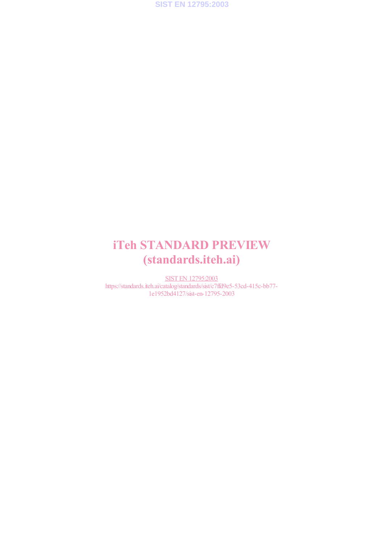

# iTeh STANDARD PREVIEW (standards.iteh.ai)

SIST EN 12795:2003 https://standards.iteh.ai/catalog/standards/sist/c7ffd9e5-53cd-415c-bb77- 1e1952bd4127/sist-en-12795-2003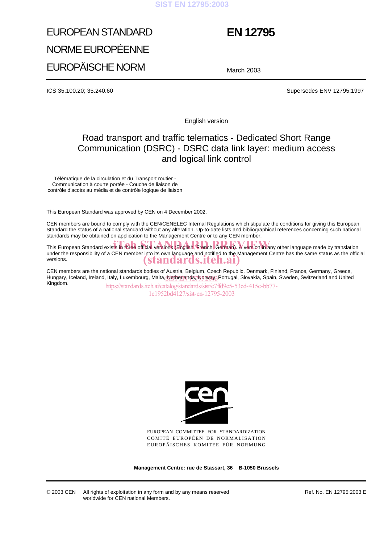#### **SIST EN 12795:2003**

# EUROPEAN STANDARD NORME EUROPÉENNE EUROPÄISCHE NORM

# **EN 12795**

March 2003

ICS 35.100.20; 35.240.60 Supersedes ENV 12795:1997

English version

# Road transport and traffic telematics - Dedicated Short Range Communication (DSRC) - DSRC data link layer: medium access and logical link control

Télématique de la circulation et du Transport routier - Communication à courte portée - Couche de liaison de contrôle d'accès au média et de contrôle logique de liaison

This European Standard was approved by CEN on 4 December 2002.

CEN members are bound to comply with the CEN/CENELEC Internal Regulations which stipulate the conditions for giving this European Standard the status of a national standard without any alteration. Up-to-date lists and bibliographical references concerning such national standards may be obtained on application to the Management Centre or to any CEN member.

This European Standard exists in three official versions (English, French, German). A version in any other language made by translation under the responsibility of a CEN member into its own language and notified to the Management Centre has the same status as the official versions. (standards.iteh.ai)

CEN members are the national standards bodies of Austria, Belgium, Czech Republic, Denmark, Finland, France, Germany, Greece, Hungary, Iceland, Ireland, Italy, Luxembourg, Malta<u>, Netherlands, Ngrway,</u> Portugal, Slovakia, Spain, Sweden, Switzerland and United<br>I Kingdom. https://standards.iteh.ai/catalog/standards/sist/c7ffd9e5-53cd-415c-bb77-

1e1952bd4127/sist-en-12795-2003



EUROPEAN COMMITTEE FOR STANDARDIZATION COMITÉ EUROPÉEN DE NORMALISATION EUROPÄISCHES KOMITEE FÜR NORMUNG

**Management Centre: rue de Stassart, 36 B-1050 Brussels**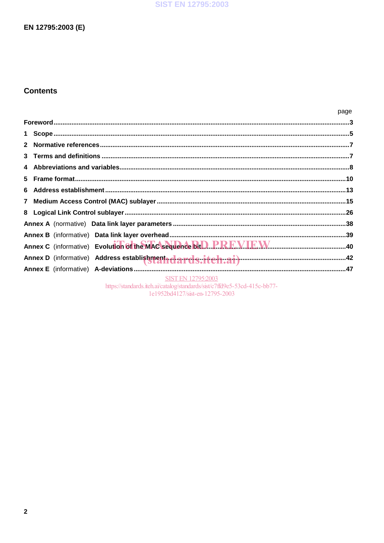### **SIST EN 12795:2003**

# EN 12795:2003 (E)

# **Contents**

|                           | page |
|---------------------------|------|
|                           |      |
|                           |      |
|                           |      |
|                           |      |
|                           |      |
|                           |      |
| 6.                        |      |
|                           |      |
|                           |      |
|                           |      |
|                           |      |
|                           |      |
|                           |      |
|                           |      |
| <b>SIST EN 12795:2003</b> |      |

https://standards.iteh.ai/catalog/standards/sist/c7ffd9e5-53cd-415c-bb77-<br>1e1952bd4127/sist-en-12795-2003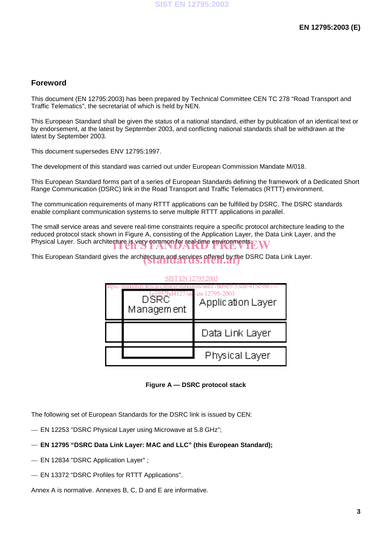### **Foreword**

This document (EN 12795:2003) has been prepared by Technical Committee CEN TC 278 "Road Transport and Traffic Telematics", the secretariat of which is held by NEN.

This European Standard shall be given the status of a national standard, either by publication of an identical text or by endorsement, at the latest by September 2003, and conflicting national standards shall be withdrawn at the latest by September 2003.

This document supersedes ENV 12795:1997.

The development of this standard was carried out under European Commission Mandate M/018.

This European Standard forms part of a series of European Standards defining the framework of a Dedicated Short Range Communication (DSRC) link in the Road Transport and Traffic Telematics (RTTT) environment.

The communication requirements of many RTTT applications can be fulfilled by DSRC. The DSRC standards enable compliant communication systems to serve multiple RTTT applications in parallel.

The small service areas and severe real-time constraints require a specific protocol architecture leading to the reduced protocol stack shown in Figure A, consisting of the Application Layer, the Data Link Layer, and the Physical Layer. Such architecture is very common for real-time environments EW

This European Standard gives the architecture and services offered by the DSRC Data Link Layer.



**Figure A — DSRC protocol stack**

The following set of European Standards for the DSRC link is issued by CEN:

- EN 12253 "DSRC Physical Layer using Microwave at 5.8 GHz";
- **EN 12795 "DSRC Data Link Layer: MAC and LLC" (this European Standard);**
- EN 12834 "DSRC Application Layer" ;
- EN 13372 "DSRC Profiles for RTTT Applications".

Annex A is normative. Annexes B, C, D and E are informative.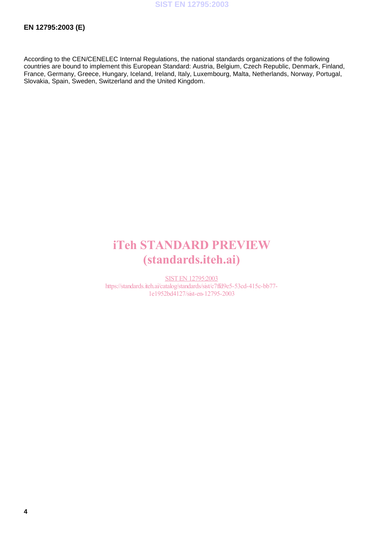According to the CEN/CENELEC Internal Regulations, the national standards organizations of the following countries are bound to implement this European Standard: Austria, Belgium, Czech Republic, Denmark, Finland, France, Germany, Greece, Hungary, Iceland, Ireland, Italy, Luxembourg, Malta, Netherlands, Norway, Portugal, Slovakia, Spain, Sweden, Switzerland and the United Kingdom.

# iTeh STANDARD PREVIEW (standards.iteh.ai)

SIST EN 12795:2003 https://standards.iteh.ai/catalog/standards/sist/c7ffd9e5-53cd-415c-bb77- 1e1952bd4127/sist-en-12795-2003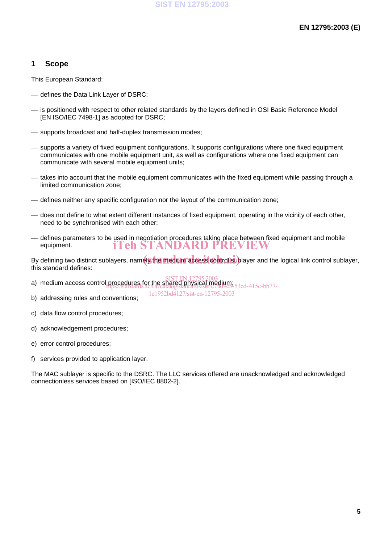# **1 Scope**

This European Standard:

- defines the Data Link Layer of DSRC;
- is positioned with respect to other related standards by the layers defined in OSI Basic Reference Model [EN ISO/IEC 7498-1] as adopted for DSRC;
- supports broadcast and half-duplex transmission modes;
- supports a variety of fixed equipment configurations. It supports configurations where one fixed equipment communicates with one mobile equipment unit, as well as configurations where one fixed equipment can communicate with several mobile equipment units;
- takes into account that the mobile equipment communicates with the fixed equipment while passing through a limited communication zone;
- defines neither any specific configuration nor the layout of the communication zone;
- does not define to what extent different instances of fixed equipment, operating in the vicinity of each other, need to be synchronised with each other;
- defines parameters to be used in negotiation procedures taking place between fixed equipment and mobile equipment. iTeh STANDARD PREVIEW

By defining two distinct sublayers, namely the medium access control sublayer and the logical link control sublayer, this standard defines:

a) medium access control procedures for the shared physical medium; SIST EN 12795:2003 https://standards.iteh.ai/catalog/standards/sist/c7ffd9e5-53cd-415c-bb77-

b) addressing rules and conventions;

1e1952bd4127/sist-en-12795-2003

- c) data flow control procedures;
- d) acknowledgement procedures;
- e) error control procedures;
- f) services provided to application layer.

The MAC sublayer is specific to the DSRC. The LLC services offered are unacknowledged and acknowledged connectionless services based on [ISO/IEC 8802-2].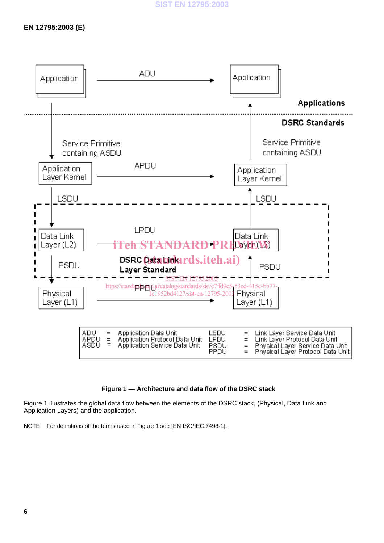# **EN 12795:2003 (E)**



#### **Figure 1 — Architecture and data flow of the DSRC stack**

Figure 1 illustrates the global data flow between the elements of the DSRC stack, (Physical, Data Link and Application Layers) and the application.

NOTE For definitions of the terms used in Figure 1 see [EN ISO/IEC 7498-1].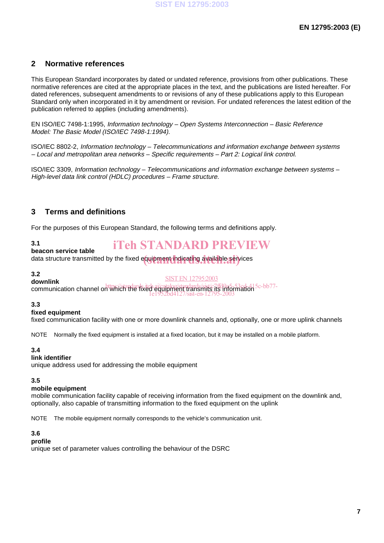# **2 Normative references**

This European Standard incorporates by dated or undated reference, provisions from other publications. These normative references are cited at the appropriate places in the text, and the publications are listed hereafter. For dated references, subsequent amendments to or revisions of any of these publications apply to this European Standard only when incorporated in it by amendment or revision. For undated references the latest edition of the publication referred to applies (including amendments).

EN ISO/IEC 7498-1:1995, Information technology – Open Systems Interconnection – Basic Reference Model: The Basic Model (ISO/IEC 7498-1:1994).

ISO/IEC 8802-2, Information technology – Telecommunications and information exchange between systems – Local and metropolitan area networks – Specific requirements – Part 2: Logical link control.

ISO/IEC 3309, Information technology – Telecommunications and information exchange between systems – High-level data link control (HDLC) procedures – Frame structure.

# **3 Terms and definitions**

For the purposes of this European Standard, the following terms and definitions apply.

#### **3.1**

# iTeh STANDARD PREVIEW

#### **beacon service table**

**Junction Connect Lines**<br>data structure transmitted by the fixed equipment indicating available services

#### **3.2 downlink**

SIST EN 12795:2003

communication channel on which the fixed equipment transmits its information https://standards.iteh.ai/catalog/standards/sist/c7ffd9e5-53cd-415c-bb77- 1e1952bd4127/sist-en-12795-2003

#### **3.3**

#### **fixed equipment**

fixed communication facility with one or more downlink channels and, optionally, one or more uplink channels

NOTE Normally the fixed equipment is installed at a fixed location, but it may be installed on a mobile platform.

#### **3.4**

#### **link identifier**

unique address used for addressing the mobile equipment

#### **3.5**

#### **mobile equipment**

mobile communication facility capable of receiving information from the fixed equipment on the downlink and, optionally, also capable of transmitting information to the fixed equipment on the uplink

NOTE The mobile equipment normally corresponds to the vehicle's communication unit.

#### **3.6**

#### **profile**

unique set of parameter values controlling the behaviour of the DSRC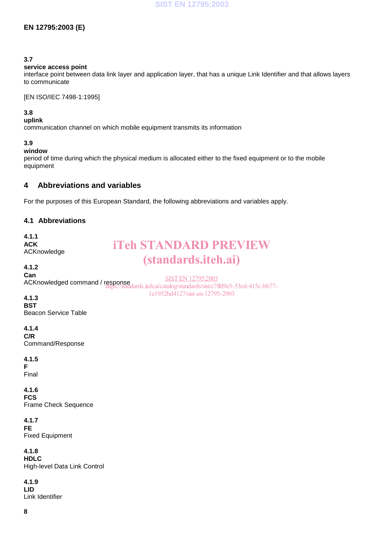# **EN 12795:2003 (E)**

#### **3.7**

#### **service access point**

interface point between data link layer and application layer, that has a unique Link Identifier and that allows layers to communicate

[EN ISO/IEC 7498-1:1995]

#### **3.8**

**uplink**

communication channel on which mobile equipment transmits its information

#### **3.9**

### **window**

period of time during which the physical medium is allocated either to the fixed equipment or to the mobile equipment

# **4 Abbreviations and variables**

For the purposes of this European Standard, the following abbreviations and variables apply.

### **4.1 Abbreviations**

| 4.1.1<br><b>ACK</b><br>ACKnowledge                   | <b>iTeh STANDARD PREVIEW</b><br><i>(standards.iteh.ai)</i>                                                                                |
|------------------------------------------------------|-------------------------------------------------------------------------------------------------------------------------------------------|
| 4.1.2<br>Can                                         | <b>SIST EN 12795:2003</b><br>ACKnowledged command / response<br>https://standards.iteh.ai/catalog/standards/sist/c7ffd9e5-53cd-415c-bb77- |
| 4.1.3<br><b>BST</b><br><b>Beacon Service Table</b>   | 1e1952bd4127/sist-en-12795-2003                                                                                                           |
| 4.1.4<br>C/R<br>Command/Response                     |                                                                                                                                           |
| 4.1.5<br>F<br>Final                                  |                                                                                                                                           |
| 4.1.6<br><b>FCS</b><br>Frame Check Sequence          |                                                                                                                                           |
| 4.1.7<br><b>FE</b><br><b>Fixed Equipment</b>         |                                                                                                                                           |
| 4.1.8<br><b>HDLC</b><br>High-level Data Link Control |                                                                                                                                           |
| 4.1.9<br><b>LID</b>                                  |                                                                                                                                           |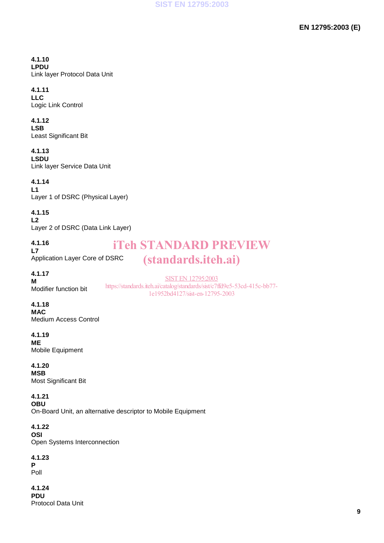#### **4.1.10 LPDU** Link layer Protocol Data Unit

# **4.1.11**

**LLC** Logic Link Control

# **4.1.12**

**LSB** Least Significant Bit

# **4.1.13**

**LSDU** Link layer Service Data Unit

# **4.1.14**

**L1** Layer 1 of DSRC (Physical Layer)

# **4.1.15**

**L2** Layer 2 of DSRC (Data Link Layer)

**4.1.16 L7** Application Layer Core of DSRC

# iTeh STANDARD PREVIEW (standards.iteh.ai)

**4.1.17**

**M** Modifier function bit

SIST EN 12795:2003 https://standards.iteh.ai/catalog/standards/sist/c7ffd9e5-53cd-415c-bb77- 1e1952bd4127/sist-en-12795-2003

# **4.1.18**

**MAC** Medium Access Control

# **4.1.19**

**ME** Mobile Equipment

# **4.1.20**

**MSB** Most Significant Bit

# **4.1.21**

**OBU** On-Board Unit, an alternative descriptor to Mobile Equipment

### **4.1.22**

**OSI** Open Systems Interconnection

# **4.1.23**

**P** Poll

**4.1.24 PDU** Protocol Data Unit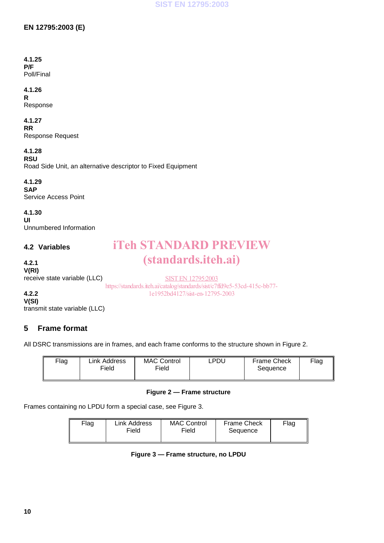# **EN 12795:2003 (E)**

#### **4.1.25 P/F** Poll/Final

#### **4.1.26 R**

Response

# **4.1.27**

**RR** Response Request

**4.1.28**

**RSU** Road Side Unit, an alternative descriptor to Fixed Equipment

#### **4.1.29 SAP** Service Access Point

**4.1.30 UI** Unnumbered Information

# **4.2 Variables**

# **4.2.1 V(RI)**

# receive state variable (LLC)

SIST EN 12795:2003 https://standards.iteh.ai/catalog/standards/sist/c7ffd9e5-53cd-415c-bb77- 1e1952bd4127/sist-en-12795-2003

iTeh STANDARD PREVIEW

(standards.iteh.ai)

**4.2.2 V(SI)**

transmit state variable (LLC)

# **5 Frame format**

All DSRC transmissions are in frames, and each frame conforms to the structure shown in Figure 2.

| <b>Flag</b> | Link Address<br>Field | <b>MAC Control</b><br>Field | ∟PDU | <b>Frame Check</b><br>Sequence | Flag |
|-------------|-----------------------|-----------------------------|------|--------------------------------|------|
|-------------|-----------------------|-----------------------------|------|--------------------------------|------|

### **Figure 2 — Frame structure**

Frames containing no LPDU form a special case, see Figure 3.

| Flag | Link Address<br>Field | <b>MAC Control</b><br>Field | <b>Frame Check</b><br>Sequence | Flag |
|------|-----------------------|-----------------------------|--------------------------------|------|
|      |                       |                             |                                |      |

**Figure 3 — Frame structure, no LPDU**